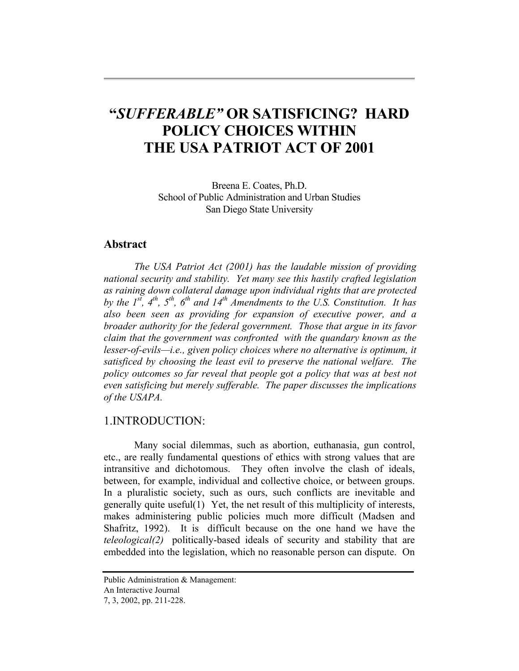# **"***SUFFERABLE"* **OR SATISFICING? HARD POLICY CHOICES WITHIN THE USA PATRIOT ACT OF 2001**

Breena E. Coates, Ph.D. School of Public Administration and Urban Studies San Diego State University

## **Abstract**

*The USA Patriot Act (2001) has the laudable mission of providing national security and stability. Yet many see this hastily crafted legislation as raining down collateral damage upon individual rights that are protected*  by the 1<sup>st</sup>, 4<sup>th</sup>, 5<sup>th</sup>, 6<sup>th</sup> and 14<sup>th</sup> Amendments to the U.S. Constitution. It has *also been seen as providing for expansion of executive power, and a broader authority for the federal government. Those that argue in its favor claim that the government was confronted with the quandary known as the lesser-of-evils—i.e., given policy choices where no alternative is optimum, it satisficed by choosing the least evil to preserve the national welfare. The policy outcomes so far reveal that people got a policy that was at best not even satisficing but merely sufferable. The paper discusses the implications of the USAPA.* 

## 1.INTRODUCTION:

Many social dilemmas, such as abortion, euthanasia, gun control, etc., are really fundamental questions of ethics with strong values that are intransitive and dichotomous. They often involve the clash of ideals, between, for example, individual and collective choice, or between groups. In a pluralistic society, such as ours, such conflicts are inevitable and generally quite useful(1) Yet, the net result of this multiplicity of interests, makes administering public policies much more difficult (Madsen and Shafritz, 1992). It is difficult because on the one hand we have the *teleological(2)* politically-based ideals of security and stability that are embedded into the legislation, which no reasonable person can dispute. On

Public Administration & Management:

An Interactive Journal

<sup>7, 3, 2002,</sup> pp. 211-228.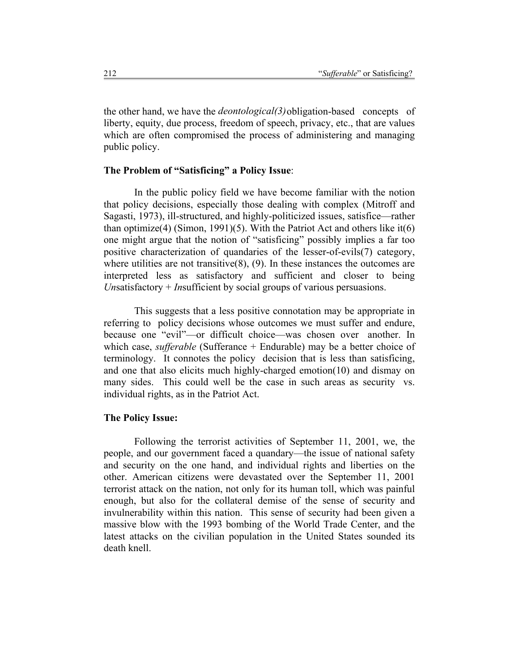the other hand, we have the *deontological(3)* obligation-based concepts of liberty, equity, due process, freedom of speech, privacy, etc., that are values which are often compromised the process of administering and managing public policy.

#### **The Problem of "Satisficing" a Policy Issue**:

In the public policy field we have become familiar with the notion that policy decisions, especially those dealing with complex (Mitroff and Sagasti, 1973), ill-structured, and highly-politicized issues, satisfice—rather than optimize(4) (Simon, 1991)(5). With the Patriot Act and others like it(6) one might argue that the notion of "satisficing" possibly implies a far too positive characterization of quandaries of the lesser-of-evils(7) category, where utilities are not transitive $(8)$ ,  $(9)$ . In these instances the outcomes are interpreted less as satisfactory and sufficient and closer to being *Un*satisfactory + *In*sufficient by social groups of various persuasions.

This suggests that a less positive connotation may be appropriate in referring to policy decisions whose outcomes we must suffer and endure, because one "evil"—or difficult choice—was chosen over another. In which case, *sufferable* (Sufferance + Endurable) may be a better choice of terminology. It connotes the policy decision that is less than satisficing, and one that also elicits much highly-charged emotion(10) and dismay on many sides. This could well be the case in such areas as security vs. individual rights, as in the Patriot Act.

#### **The Policy Issue:**

Following the terrorist activities of September 11, 2001, we, the people, and our government faced a quandary—the issue of national safety and security on the one hand, and individual rights and liberties on the other. American citizens were devastated over the September 11, 2001 terrorist attack on the nation, not only for its human toll, which was painful enough, but also for the collateral demise of the sense of security and invulnerability within this nation. This sense of security had been given a massive blow with the 1993 bombing of the World Trade Center, and the latest attacks on the civilian population in the United States sounded its death knell.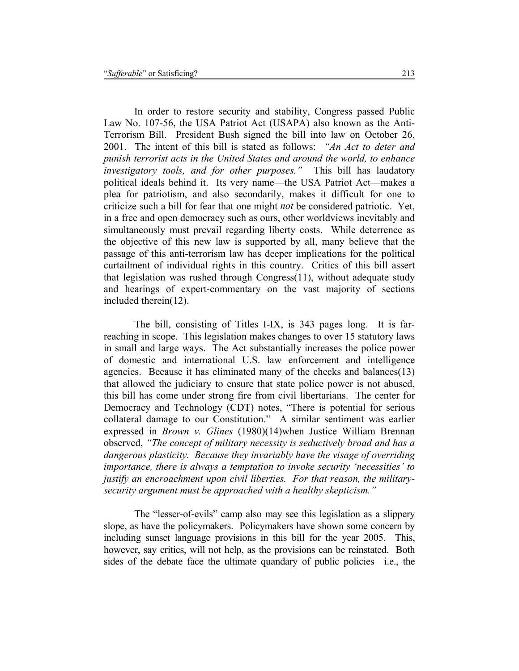In order to restore security and stability, Congress passed Public Law No. 107-56, the USA Patriot Act (USAPA) also known as the Anti-Terrorism Bill. President Bush signed the bill into law on October 26, 2001. The intent of this bill is stated as follows: *"An Act to deter and punish terrorist acts in the United States and around the world, to enhance investigatory tools, and for other purposes."* This bill has laudatory political ideals behind it. Its very name—the USA Patriot Act—makes a plea for patriotism, and also secondarily, makes it difficult for one to criticize such a bill for fear that one might *not* be considered patriotic. Yet, in a free and open democracy such as ours, other worldviews inevitably and simultaneously must prevail regarding liberty costs. While deterrence as the objective of this new law is supported by all, many believe that the passage of this anti-terrorism law has deeper implications for the political curtailment of individual rights in this country. Critics of this bill assert that legislation was rushed through Congress(11), without adequate study and hearings of expert-commentary on the vast majority of sections included therein(12).

The bill, consisting of Titles I-IX, is 343 pages long. It is farreaching in scope. This legislation makes changes to over 15 statutory laws in small and large ways. The Act substantially increases the police power of domestic and international U.S. law enforcement and intelligence agencies. Because it has eliminated many of the checks and balances(13) that allowed the judiciary to ensure that state police power is not abused, this bill has come under strong fire from civil libertarians. The center for Democracy and Technology (CDT) notes, "There is potential for serious collateral damage to our Constitution." A similar sentiment was earlier expressed in *Brown v. Glines* (1980)(14)when Justice William Brennan observed, *"The concept of military necessity is seductively broad and has a dangerous plasticity. Because they invariably have the visage of overriding importance, there is always a temptation to invoke security 'necessities' to justify an encroachment upon civil liberties. For that reason, the militarysecurity argument must be approached with a healthy skepticism."* 

The "lesser-of-evils" camp also may see this legislation as a slippery slope, as have the policymakers. Policymakers have shown some concern by including sunset language provisions in this bill for the year 2005. This, however, say critics, will not help, as the provisions can be reinstated. Both sides of the debate face the ultimate quandary of public policies—i.e., the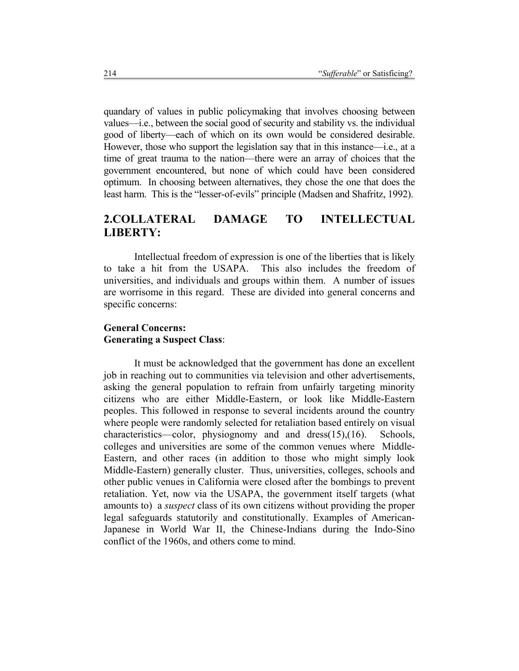quandary of values in public policymaking that involves choosing between values—i.e., between the social good of security and stability vs. the individual good of liberty—each of which on its own would be considered desirable. However, those who support the legislation say that in this instance—i.e., at a time of great trauma to the nation—there were an array of choices that the government encountered, but none of which could have been considered optimum. In choosing between alternatives, they chose the one that does the least harm. This is the "lesser-of-evils" principle (Madsen and Shafritz, 1992).

# **2.COLLATERAL DAMAGE TO INTELLECTUAL LIBERTY:**

 Intellectual freedom of expression is one of the liberties that is likely to take a hit from the USAPA. This also includes the freedom of universities, and individuals and groups within them. A number of issues are worrisome in this regard. These are divided into general concerns and specific concerns:

## **General Concerns: Generating a Suspect Class**:

It must be acknowledged that the government has done an excellent job in reaching out to communities via television and other advertisements, asking the general population to refrain from unfairly targeting minority citizens who are either Middle-Eastern, or look like Middle-Eastern peoples. This followed in response to several incidents around the country where people were randomly selected for retaliation based entirely on visual characteristics—color, physiognomy and and dress(15),(16). Schools, colleges and universities are some of the common venues where Middle-Eastern, and other races (in addition to those who might simply look Middle-Eastern) generally cluster. Thus, universities, colleges, schools and other public venues in California were closed after the bombings to prevent retaliation. Yet, now via the USAPA, the government itself targets (what amounts to) a *suspect* class of its own citizens without providing the proper legal safeguards statutorily and constitutionally. Examples of American-Japanese in World War II, the Chinese-Indians during the Indo-Sino conflict of the 1960s, and others come to mind.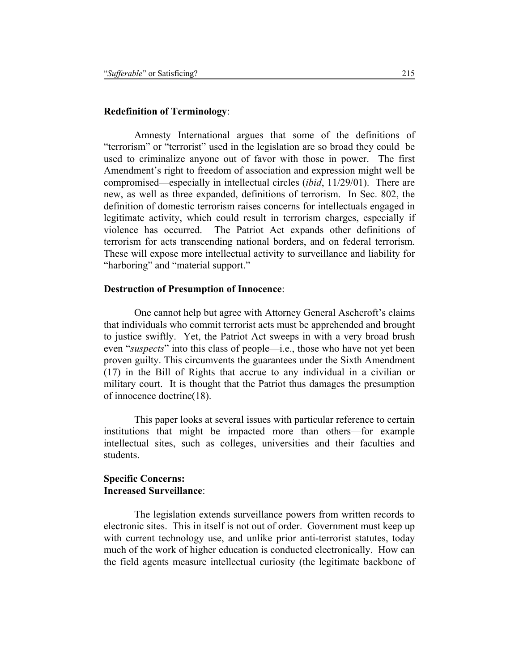## **Redefinition of Terminology**:

Amnesty International argues that some of the definitions of "terrorism" or "terrorist" used in the legislation are so broad they could be used to criminalize anyone out of favor with those in power. The first Amendment's right to freedom of association and expression might well be compromised—especially in intellectual circles (*ibid*, 11/29/01). There are new, as well as three expanded, definitions of terrorism. In Sec. 802, the definition of domestic terrorism raises concerns for intellectuals engaged in legitimate activity, which could result in terrorism charges, especially if violence has occurred. The Patriot Act expands other definitions of terrorism for acts transcending national borders, and on federal terrorism. These will expose more intellectual activity to surveillance and liability for "harboring" and "material support."

#### **Destruction of Presumption of Innocence**:

One cannot help but agree with Attorney General Aschcroft's claims that individuals who commit terrorist acts must be apprehended and brought to justice swiftly. Yet, the Patriot Act sweeps in with a very broad brush even "*suspects*" into this class of people—i.e., those who have not yet been proven guilty. This circumvents the guarantees under the Sixth Amendment (17) in the Bill of Rights that accrue to any individual in a civilian or military court. It is thought that the Patriot thus damages the presumption of innocence doctrine(18).

 This paper looks at several issues with particular reference to certain institutions that might be impacted more than others—for example intellectual sites, such as colleges, universities and their faculties and students.

#### **Specific Concerns: Increased Surveillance**:

The legislation extends surveillance powers from written records to electronic sites. This in itself is not out of order. Government must keep up with current technology use, and unlike prior anti-terrorist statutes, today much of the work of higher education is conducted electronically. How can the field agents measure intellectual curiosity (the legitimate backbone of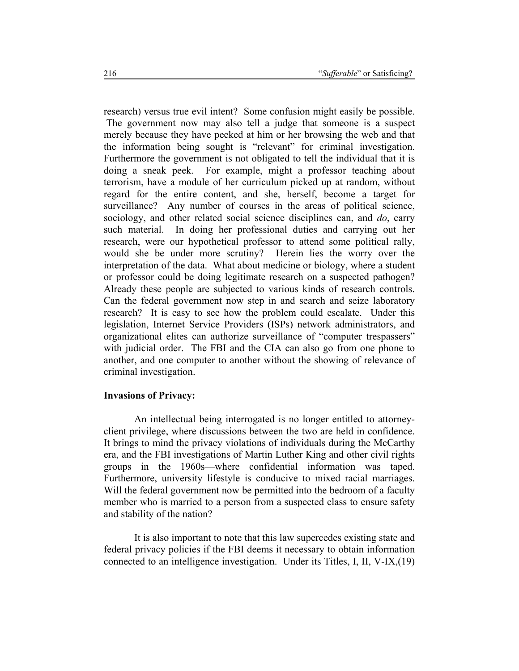research) versus true evil intent? Some confusion might easily be possible. The government now may also tell a judge that someone is a suspect merely because they have peeked at him or her browsing the web and that the information being sought is "relevant" for criminal investigation. Furthermore the government is not obligated to tell the individual that it is doing a sneak peek. For example, might a professor teaching about terrorism, have a module of her curriculum picked up at random, without regard for the entire content, and she, herself, become a target for surveillance? Any number of courses in the areas of political science, sociology, and other related social science disciplines can, and *do*, carry such material. In doing her professional duties and carrying out her research, were our hypothetical professor to attend some political rally, would she be under more scrutiny? Herein lies the worry over the interpretation of the data. What about medicine or biology, where a student or professor could be doing legitimate research on a suspected pathogen? Already these people are subjected to various kinds of research controls. Can the federal government now step in and search and seize laboratory research? It is easy to see how the problem could escalate. Under this legislation, Internet Service Providers (ISPs) network administrators, and organizational elites can authorize surveillance of "computer trespassers" with judicial order. The FBI and the CIA can also go from one phone to another, and one computer to another without the showing of relevance of criminal investigation.

#### **Invasions of Privacy:**

An intellectual being interrogated is no longer entitled to attorneyclient privilege, where discussions between the two are held in confidence. It brings to mind the privacy violations of individuals during the McCarthy era, and the FBI investigations of Martin Luther King and other civil rights groups in the 1960s—where confidential information was taped. Furthermore, university lifestyle is conducive to mixed racial marriages. Will the federal government now be permitted into the bedroom of a faculty member who is married to a person from a suspected class to ensure safety and stability of the nation?

 It is also important to note that this law supercedes existing state and federal privacy policies if the FBI deems it necessary to obtain information connected to an intelligence investigation. Under its Titles, I, II, V-IX,(19)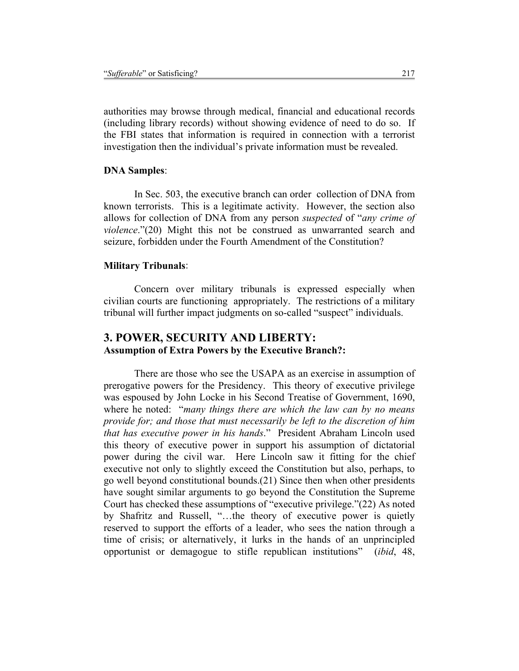authorities may browse through medical, financial and educational records (including library records) without showing evidence of need to do so. If the FBI states that information is required in connection with a terrorist investigation then the individual's private information must be revealed.

#### **DNA Samples**:

In Sec. 503, the executive branch can order collection of DNA from known terrorists. This is a legitimate activity. However, the section also allows for collection of DNA from any person *suspected* of "*any crime of violence*."(20) Might this not be construed as unwarranted search and seizure, forbidden under the Fourth Amendment of the Constitution?

#### **Military Tribunals**:

Concern over military tribunals is expressed especially when civilian courts are functioning appropriately. The restrictions of a military tribunal will further impact judgments on so-called "suspect" individuals.

## **3. POWER, SECURITY AND LIBERTY: Assumption of Extra Powers by the Executive Branch?:**

There are those who see the USAPA as an exercise in assumption of prerogative powers for the Presidency. This theory of executive privilege was espoused by John Locke in his Second Treatise of Government, 1690, where he noted: "*many things there are which the law can by no means provide for; and those that must necessarily be left to the discretion of him that has executive power in his hands*." President Abraham Lincoln used this theory of executive power in support his assumption of dictatorial power during the civil war. Here Lincoln saw it fitting for the chief executive not only to slightly exceed the Constitution but also, perhaps, to go well beyond constitutional bounds.(21) Since then when other presidents have sought similar arguments to go beyond the Constitution the Supreme Court has checked these assumptions of "executive privilege."(22) As noted by Shafritz and Russell, "…the theory of executive power is quietly reserved to support the efforts of a leader, who sees the nation through a time of crisis; or alternatively, it lurks in the hands of an unprincipled opportunist or demagogue to stifle republican institutions" (*ibid*, 48,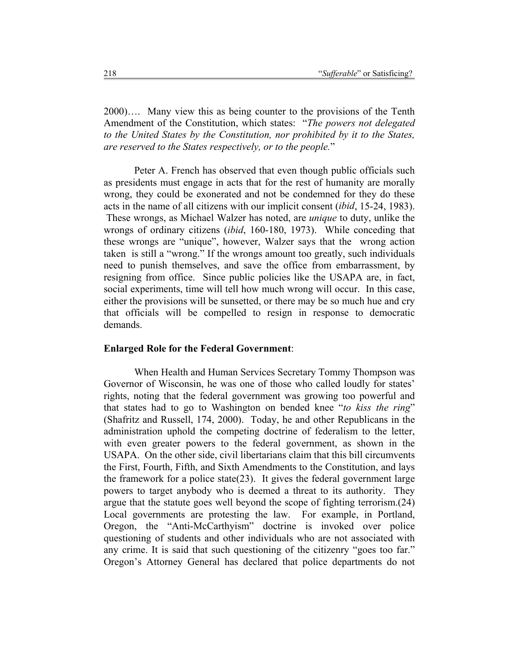2000)…. Many view this as being counter to the provisions of the Tenth Amendment of the Constitution, which states: "*The powers not delegated to the United States by the Constitution, nor prohibited by it to the States, are reserved to the States respectively, or to the people.*"

 Peter A. French has observed that even though public officials such as presidents must engage in acts that for the rest of humanity are morally wrong, they could be exonerated and not be condemned for they do these acts in the name of all citizens with our implicit consent (*ibid*, 15-24, 1983). These wrongs, as Michael Walzer has noted, are *unique* to duty, unlike the wrongs of ordinary citizens (*ibid*, 160-180, 1973). While conceding that these wrongs are "unique", however, Walzer says that the wrong action taken is still a "wrong." If the wrongs amount too greatly, such individuals need to punish themselves, and save the office from embarrassment, by resigning from office. Since public policies like the USAPA are, in fact, social experiments, time will tell how much wrong will occur. In this case, either the provisions will be sunsetted, or there may be so much hue and cry that officials will be compelled to resign in response to democratic demands.

#### **Enlarged Role for the Federal Government**:

When Health and Human Services Secretary Tommy Thompson was Governor of Wisconsin, he was one of those who called loudly for states' rights, noting that the federal government was growing too powerful and that states had to go to Washington on bended knee "*to kiss the ring*" (Shafritz and Russell, 174, 2000). Today, he and other Republicans in the administration uphold the competing doctrine of federalism to the letter, with even greater powers to the federal government, as shown in the USAPA. On the other side, civil libertarians claim that this bill circumvents the First, Fourth, Fifth, and Sixth Amendments to the Constitution, and lays the framework for a police state(23). It gives the federal government large powers to target anybody who is deemed a threat to its authority. They argue that the statute goes well beyond the scope of fighting terrorism.(24) Local governments are protesting the law. For example, in Portland, Oregon, the "Anti-McCarthyism" doctrine is invoked over police questioning of students and other individuals who are not associated with any crime. It is said that such questioning of the citizenry "goes too far." Oregon's Attorney General has declared that police departments do not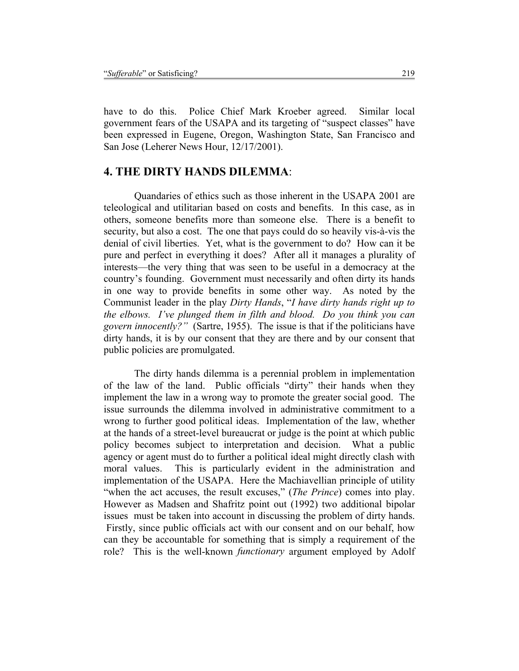have to do this. Police Chief Mark Kroeber agreed. Similar local government fears of the USAPA and its targeting of "suspect classes" have been expressed in Eugene, Oregon, Washington State, San Francisco and San Jose (Leherer News Hour, 12/17/2001).

## **4. THE DIRTY HANDS DILEMMA**:

Quandaries of ethics such as those inherent in the USAPA 2001 are teleological and utilitarian based on costs and benefits. In this case, as in others, someone benefits more than someone else. There is a benefit to security, but also a cost. The one that pays could do so heavily vis-à-vis the denial of civil liberties. Yet, what is the government to do? How can it be pure and perfect in everything it does? After all it manages a plurality of interests—the very thing that was seen to be useful in a democracy at the country's founding. Government must necessarily and often dirty its hands in one way to provide benefits in some other way. As noted by the Communist leader in the play *Dirty Hands*, "*I have dirty hands right up to the elbows. I've plunged them in filth and blood. Do you think you can govern innocently?"* (Sartre, 1955). The issue is that if the politicians have dirty hands, it is by our consent that they are there and by our consent that public policies are promulgated.

 The dirty hands dilemma is a perennial problem in implementation of the law of the land. Public officials "dirty" their hands when they implement the law in a wrong way to promote the greater social good. The issue surrounds the dilemma involved in administrative commitment to a wrong to further good political ideas. Implementation of the law, whether at the hands of a street-level bureaucrat or judge is the point at which public policy becomes subject to interpretation and decision. What a public agency or agent must do to further a political ideal might directly clash with moral values. This is particularly evident in the administration and implementation of the USAPA. Here the Machiavellian principle of utility "when the act accuses, the result excuses," (*The Prince*) comes into play. However as Madsen and Shafritz point out (1992) two additional bipolar issues must be taken into account in discussing the problem of dirty hands. Firstly, since public officials act with our consent and on our behalf, how can they be accountable for something that is simply a requirement of the role? This is the well-known *functionary* argument employed by Adolf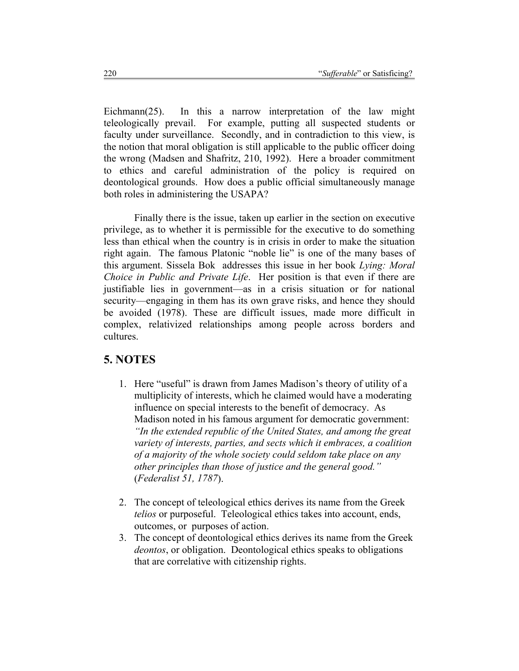Eichmann(25). In this a narrow interpretation of the law might teleologically prevail. For example, putting all suspected students or faculty under surveillance. Secondly, and in contradiction to this view, is the notion that moral obligation is still applicable to the public officer doing the wrong (Madsen and Shafritz, 210, 1992). Here a broader commitment to ethics and careful administration of the policy is required on deontological grounds. How does a public official simultaneously manage both roles in administering the USAPA?

 Finally there is the issue, taken up earlier in the section on executive privilege, as to whether it is permissible for the executive to do something less than ethical when the country is in crisis in order to make the situation right again. The famous Platonic "noble lie" is one of the many bases of this argument. Sissela Bok addresses this issue in her book *Lying: Moral Choice in Public and Private Life*. Her position is that even if there are justifiable lies in government—as in a crisis situation or for national security—engaging in them has its own grave risks, and hence they should be avoided (1978). These are difficult issues, made more difficult in complex, relativized relationships among people across borders and cultures.

## **5. NOTES**

- 1. Here "useful" is drawn from James Madison's theory of utility of a multiplicity of interests, which he claimed would have a moderating influence on special interests to the benefit of democracy. As Madison noted in his famous argument for democratic government: *"In the extended republic of the United States, and among the great variety of interests, parties, and sects which it embraces, a coalition of a majority of the whole society could seldom take place on any other principles than those of justice and the general good."* (*Federalist 51, 1787*).
- 2. The concept of teleological ethics derives its name from the Greek *telios* or purposeful. Teleological ethics takes into account, ends, outcomes, or purposes of action.
- 3. The concept of deontological ethics derives its name from the Greek *deontos*, or obligation. Deontological ethics speaks to obligations that are correlative with citizenship rights.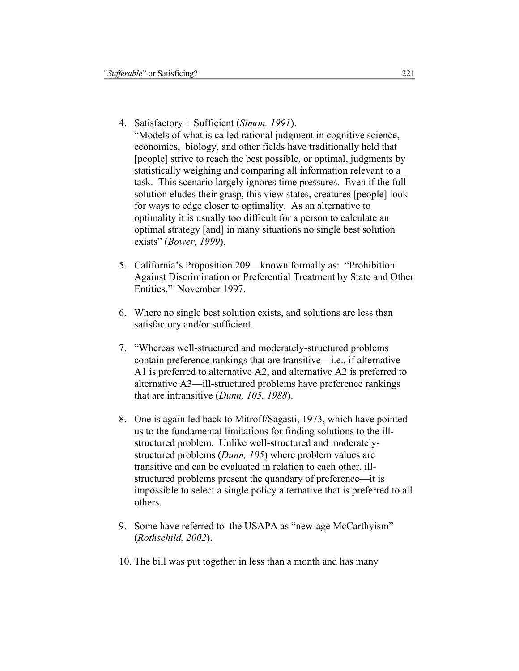4. Satisfactory + Sufficient (*Simon, 1991*).

"Models of what is called rational judgment in cognitive science, economics, biology, and other fields have traditionally held that [people] strive to reach the best possible, or optimal, judgments by statistically weighing and comparing all information relevant to a task. This scenario largely ignores time pressures. Even if the full solution eludes their grasp, this view states, creatures [people] look for ways to edge closer to optimality. As an alternative to optimality it is usually too difficult for a person to calculate an optimal strategy [and] in many situations no single best solution exists" (*Bower, 1999*).

- 5. California's Proposition 209—known formally as: "Prohibition Against Discrimination or Preferential Treatment by State and Other Entities," November 1997.
- 6. Where no single best solution exists, and solutions are less than satisfactory and/or sufficient.
- 7. "Whereas well-structured and moderately-structured problems contain preference rankings that are transitive—i.e., if alternative A1 is preferred to alternative A2, and alternative A2 is preferred to alternative A3—ill-structured problems have preference rankings that are intransitive (*Dunn, 105, 1988*).
- 8. One is again led back to Mitroff/Sagasti, 1973, which have pointed us to the fundamental limitations for finding solutions to the illstructured problem. Unlike well-structured and moderatelystructured problems (*Dunn, 105*) where problem values are transitive and can be evaluated in relation to each other, illstructured problems present the quandary of preference—it is impossible to select a single policy alternative that is preferred to all others.
- 9. Some have referred to the USAPA as "new-age McCarthyism" (*Rothschild, 2002*).
- 10. The bill was put together in less than a month and has many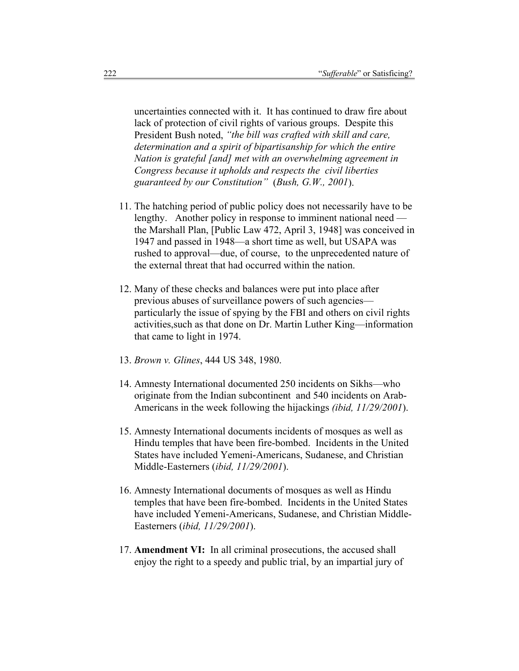uncertainties connected with it. It has continued to draw fire about lack of protection of civil rights of various groups. Despite this President Bush noted, *"the bill was crafted with skill and care, determination and a spirit of bipartisanship for which the entire Nation is grateful [and] met with an overwhelming agreement in Congress because it upholds and respects the civil liberties guaranteed by our Constitution"* (*Bush, G.W., 2001*).

- 11. The hatching period of public policy does not necessarily have to be lengthy. Another policy in response to imminent national need the Marshall Plan, [Public Law 472, April 3, 1948] was conceived in 1947 and passed in 1948—a short time as well, but USAPA was rushed to approval—due, of course, to the unprecedented nature of the external threat that had occurred within the nation.
- 12. Many of these checks and balances were put into place after previous abuses of surveillance powers of such agencies particularly the issue of spying by the FBI and others on civil rights activities,such as that done on Dr. Martin Luther King—information that came to light in 1974.
- 13. *Brown v. Glines*, 444 US 348, 1980.
- 14. Amnesty International documented 250 incidents on Sikhs—who originate from the Indian subcontinent and 540 incidents on Arab-Americans in the week following the hijackings *(ibid, 11/29/2001*).
- 15. Amnesty International documents incidents of mosques as well as Hindu temples that have been fire-bombed. Incidents in the United States have included Yemeni-Americans, Sudanese, and Christian Middle-Easterners (*ibid, 11/29/2001*).
- 16. Amnesty International documents of mosques as well as Hindu temples that have been fire-bombed. Incidents in the United States have included Yemeni-Americans, Sudanese, and Christian Middle-Easterners (*ibid, 11/29/2001*).
- 17. **Amendment VI:** In all criminal prosecutions, the accused shall enjoy the right to a speedy and public trial, by an impartial jury of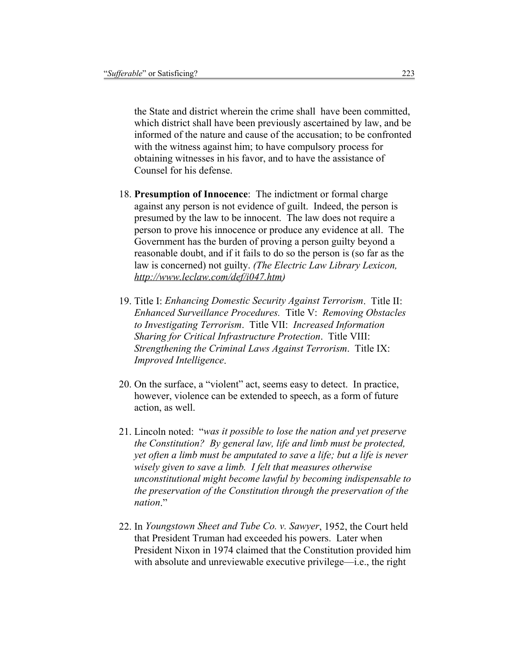the State and district wherein the crime shall have been committed, which district shall have been previously ascertained by law, and be informed of the nature and cause of the accusation; to be confronted with the witness against him; to have compulsory process for obtaining witnesses in his favor, and to have the assistance of Counsel for his defense.

- 18. **Presumption of Innocence**: The indictment or formal charge against any person is not evidence of guilt. Indeed, the person is presumed by the law to be innocent. The law does not require a person to prove his innocence or produce any evidence at all. The Government has the burden of proving a person guilty beyond a reasonable doubt, and if it fails to do so the person is (so far as the law is concerned) not guilty. *(The Electric Law Library Lexicon, http://www.leclaw.com/def/i047.htm)*
- 19. Title I: *Enhancing Domestic Security Against Terrorism*. Title II: *Enhanced Surveillance Procedures.* Title V: *Removing Obstacles to Investigating Terrorism*. Title VII: *Increased Information Sharing for Critical Infrastructure Protection*. Title VIII: *Strengthening the Criminal Laws Against Terrorism*. Title IX: *Improved Intelligence*.
- 20. On the surface, a "violent" act, seems easy to detect. In practice, however, violence can be extended to speech, as a form of future action, as well.
- 21. Lincoln noted: "*was it possible to lose the nation and yet preserve the Constitution? By general law, life and limb must be protected, yet often a limb must be amputated to save a life; but a life is never wisely given to save a limb. I felt that measures otherwise unconstitutional might become lawful by becoming indispensable to the preservation of the Constitution through the preservation of the nation*."
- 22. In *Youngstown Sheet and Tube Co. v. Sawyer*, 1952, the Court held that President Truman had exceeded his powers. Later when President Nixon in 1974 claimed that the Constitution provided him with absolute and unreviewable executive privilege—i.e., the right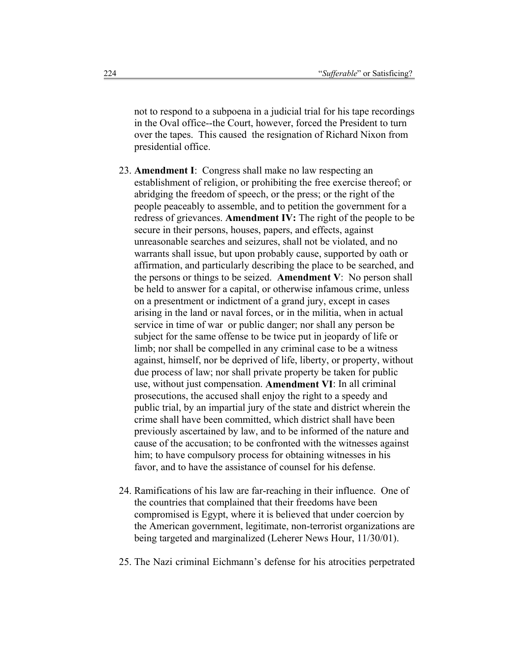not to respond to a subpoena in a judicial trial for his tape recordings in the Oval office--the Court, however, forced the President to turn over the tapes. This caused the resignation of Richard Nixon from presidential office.

- 23. **Amendment I**: Congress shall make no law respecting an establishment of religion, or prohibiting the free exercise thereof; or abridging the freedom of speech, or the press; or the right of the people peaceably to assemble, and to petition the government for a redress of grievances. **Amendment IV:** The right of the people to be secure in their persons, houses, papers, and effects, against unreasonable searches and seizures, shall not be violated, and no warrants shall issue, but upon probably cause, supported by oath or affirmation, and particularly describing the place to be searched, and the persons or things to be seized. **Amendment V**: No person shall be held to answer for a capital, or otherwise infamous crime, unless on a presentment or indictment of a grand jury, except in cases arising in the land or naval forces, or in the militia, when in actual service in time of war or public danger; nor shall any person be subject for the same offense to be twice put in jeopardy of life or limb; nor shall be compelled in any criminal case to be a witness against, himself, nor be deprived of life, liberty, or property, without due process of law; nor shall private property be taken for public use, without just compensation. **Amendment VI**: In all criminal prosecutions, the accused shall enjoy the right to a speedy and public trial, by an impartial jury of the state and district wherein the crime shall have been committed, which district shall have been previously ascertained by law, and to be informed of the nature and cause of the accusation; to be confronted with the witnesses against him; to have compulsory process for obtaining witnesses in his favor, and to have the assistance of counsel for his defense.
- 24. Ramifications of his law are far-reaching in their influence. One of the countries that complained that their freedoms have been compromised is Egypt, where it is believed that under coercion by the American government, legitimate, non-terrorist organizations are being targeted and marginalized (Leherer News Hour, 11/30/01).
- 25. The Nazi criminal Eichmann's defense for his atrocities perpetrated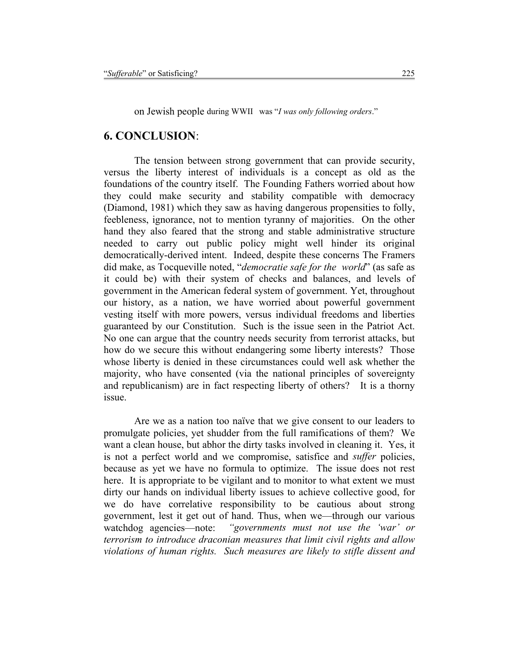on Jewish people during WWII was "*I was only following orders*."

## **6. CONCLUSION**:

 The tension between strong government that can provide security, versus the liberty interest of individuals is a concept as old as the foundations of the country itself. The Founding Fathers worried about how they could make security and stability compatible with democracy (Diamond, 1981) which they saw as having dangerous propensities to folly, feebleness, ignorance, not to mention tyranny of majorities. On the other hand they also feared that the strong and stable administrative structure needed to carry out public policy might well hinder its original democratically-derived intent. Indeed, despite these concerns The Framers did make, as Tocqueville noted, "*democratie safe for the world*" (as safe as it could be) with their system of checks and balances, and levels of government in the American federal system of government. Yet, throughout our history, as a nation, we have worried about powerful government vesting itself with more powers, versus individual freedoms and liberties guaranteed by our Constitution. Such is the issue seen in the Patriot Act. No one can argue that the country needs security from terrorist attacks, but how do we secure this without endangering some liberty interests? Those whose liberty is denied in these circumstances could well ask whether the majority, who have consented (via the national principles of sovereignty and republicanism) are in fact respecting liberty of others? It is a thorny issue.

 Are we as a nation too naïve that we give consent to our leaders to promulgate policies, yet shudder from the full ramifications of them? We want a clean house, but abhor the dirty tasks involved in cleaning it. Yes, it is not a perfect world and we compromise, satisfice and *suffer* policies, because as yet we have no formula to optimize. The issue does not rest here. It is appropriate to be vigilant and to monitor to what extent we must dirty our hands on individual liberty issues to achieve collective good, for we do have correlative responsibility to be cautious about strong government, lest it get out of hand. Thus, when we—through our various watchdog agencies—note: *"governments must not use the 'war' or terrorism to introduce draconian measures that limit civil rights and allow violations of human rights. Such measures are likely to stifle dissent and*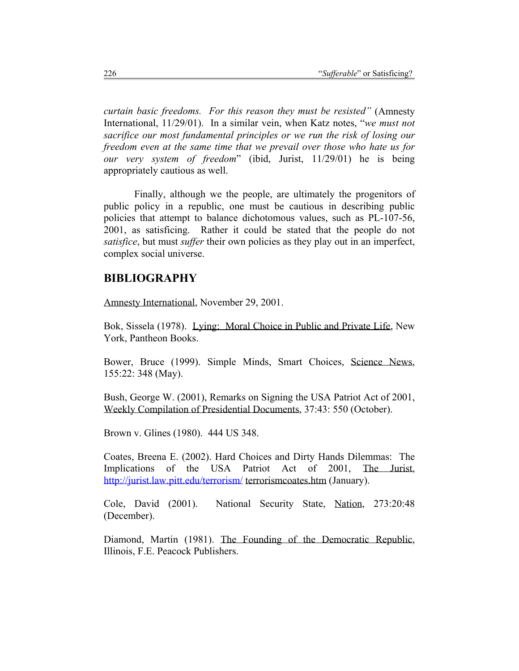*curtain basic freedoms. For this reason they must be resisted"* (Amnesty International, 11/29/01). In a similar vein, when Katz notes, "*we must not sacrifice our most fundamental principles or we run the risk of losing our freedom even at the same time that we prevail over those who hate us for our very system of freedom*" (ibid, Jurist, 11/29/01) he is being appropriately cautious as well.

Finally, although we the people, are ultimately the progenitors of public policy in a republic, one must be cautious in describing public policies that attempt to balance dichotomous values, such as PL-107-56, 2001, as satisficing. Rather it could be stated that the people do not *satisfice*, but must *suffer* their own policies as they play out in an imperfect, complex social universe.

## **BIBLIOGRAPHY**

Amnesty International, November 29, 2001.

Bok, Sissela (1978). Lying: Moral Choice in Public and Private Life, New York, Pantheon Books.

Bower, Bruce (1999). Simple Minds, Smart Choices, Science News, 155:22: 348 (May).

Bush, George W. (2001), Remarks on Signing the USA Patriot Act of 2001, Weekly Compilation of Presidential Documents, 37:43: 550 (October).

Brown v. Glines (1980). 444 US 348.

Coates, Breena E. (2002). Hard Choices and Dirty Hands Dilemmas: The Implications of the USA Patriot Act of 2001, The Jurist, http://jurist.law.pitt.edu/terrorism/ terrorismcoates.htm (January).

Cole, David (2001). National Security State, Nation, 273:20:48 (December).

Diamond, Martin (1981). The Founding of the Democratic Republic, Illinois, F.E. Peacock Publishers.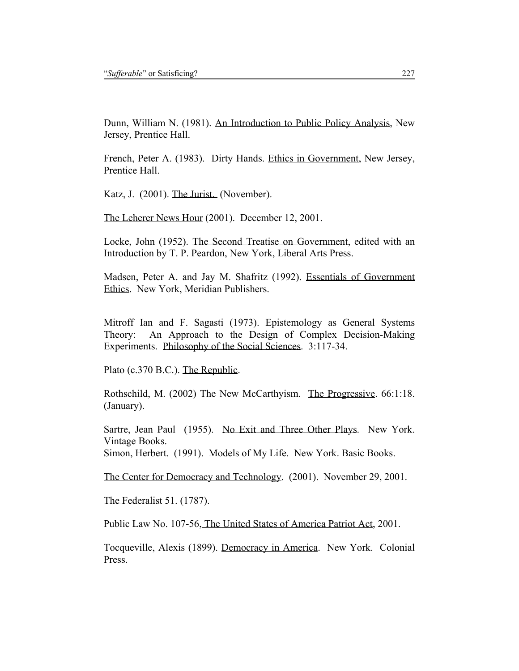Dunn, William N. (1981). An Introduction to Public Policy Analysis, New Jersey, Prentice Hall.

French, Peter A. (1983). Dirty Hands. Ethics in Government, New Jersey, Prentice Hall.

Katz, J. (2001). The Jurist. (November).

The Leherer News Hour (2001). December 12, 2001.

Locke, John (1952). The Second Treatise on Government, edited with an Introduction by T. P. Peardon, New York, Liberal Arts Press.

Madsen, Peter A. and Jay M. Shafritz (1992). Essentials of Government Ethics. New York, Meridian Publishers.

Mitroff Ian and F. Sagasti (1973). Epistemology as General Systems Theory: An Approach to the Design of Complex Decision-Making Experiments. Philosophy of the Social Sciences. 3:117-34.

Plato (c.370 B.C.). The Republic.

Rothschild, M. (2002) The New McCarthyism. The Progressive. 66:1:18. (January).

Sartre, Jean Paul (1955). No Exit and Three Other Plays. New York. Vintage Books.

Simon, Herbert. (1991). Models of My Life. New York. Basic Books.

The Center for Democracy and Technology. (2001). November 29, 2001.

The Federalist 51. (1787).

Public Law No. 107-56, The United States of America Patriot Act, 2001.

Tocqueville, Alexis (1899). Democracy in America. New York. Colonial Press.